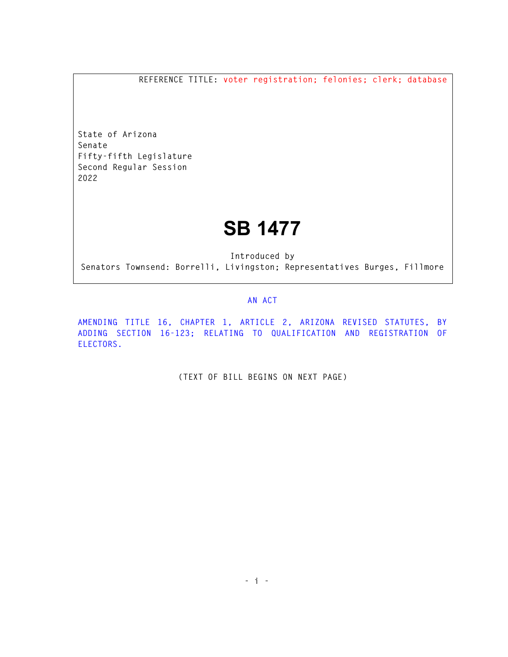**REFERENCE TITLE: voter registration; felonies; clerk; database** 

**State of Arizona Senate Fifty-fifth Legislature Second Regular Session 2022** 

## **SB 1477**

**Introduced by Senators Townsend: Borrelli, Livingston; Representatives Burges, Fillmore** 

## **AN ACT**

**AMENDING TITLE 16, CHAPTER 1, ARTICLE 2, ARIZONA REVISED STATUTES, BY ADDING SECTION 16-123; RELATING TO QUALIFICATION AND REGISTRATION OF ELECTORS.** 

**(TEXT OF BILL BEGINS ON NEXT PAGE)**